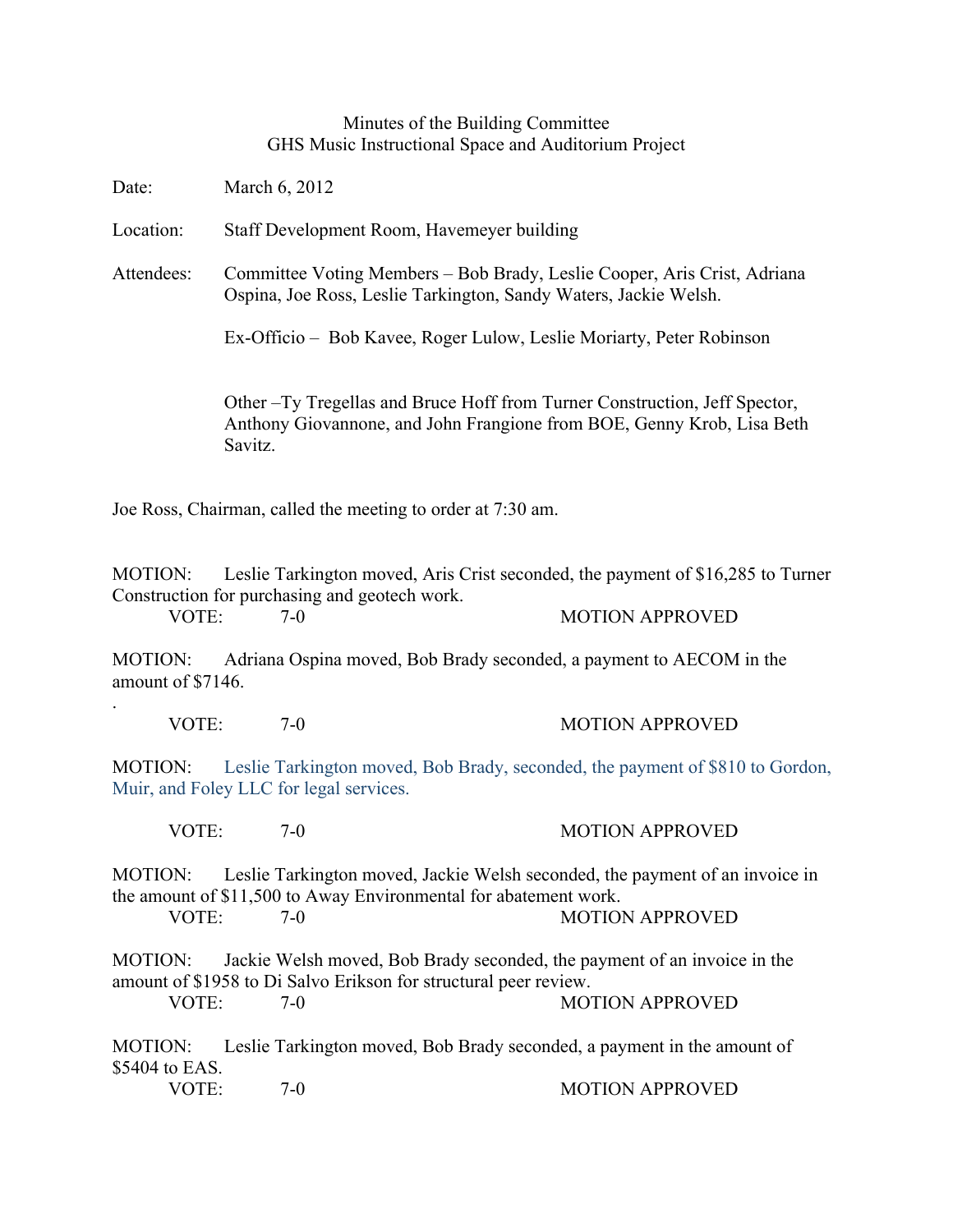## Minutes of the Building Committee GHS Music Instructional Space and Auditorium Project

Date: March 6, 2012

.

Location: Staff Development Room, Havemeyer building

Attendees: Committee Voting Members – Bob Brady, Leslie Cooper, Aris Crist, Adriana Ospina, Joe Ross, Leslie Tarkington, Sandy Waters, Jackie Welsh.

Ex-Officio – Bob Kavee, Roger Lulow, Leslie Moriarty, Peter Robinson

Other –Ty Tregellas and Bruce Hoff from Turner Construction, Jeff Spector, Anthony Giovannone, and John Frangione from BOE, Genny Krob, Lisa Beth Savitz.

Joe Ross, Chairman, called the meeting to order at 7:30 am.

MOTION: Leslie Tarkington moved, Aris Crist seconded, the payment of \$16,285 to Turner Construction for purchasing and geotech work.

VOTE: 7-0 7-0 MOTION APPROVED

MOTION: Adriana Ospina moved, Bob Brady seconded, a payment to AECOM in the amount of \$7146.

| VOTE: | <b>MOTION APPROVED</b> |
|-------|------------------------|
|       |                        |

MOTION: Leslie Tarkington moved, Bob Brady, seconded, the payment of \$810 to Gordon, Muir, and Foley LLC for legal services.

VOTE: 7-0 7-0 MOTION APPROVED

MOTION: Leslie Tarkington moved, Jackie Welsh seconded, the payment of an invoice in the amount of \$11,500 to Away Environmental for abatement work.

VOTE: 7-0 MOTION APPROVED

MOTION: Jackie Welsh moved, Bob Brady seconded, the payment of an invoice in the amount of \$1958 to Di Salvo Erikson for structural peer review.

VOTE 7-0 7-0 MOTION APPROVED

MOTION: Leslie Tarkington moved, Bob Brady seconded, a payment in the amount of \$5404 to EAS.

VOTE: 7-0 7-0 MOTION APPROVED